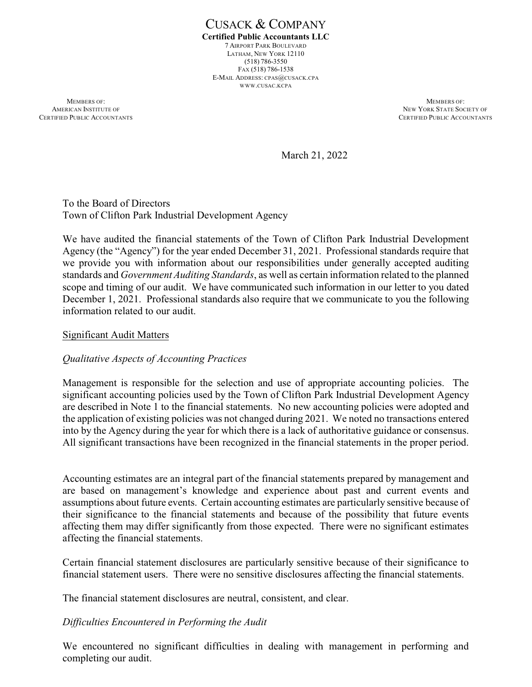CUSACK & COMPANY **Certified Public Accountants LLC** 7 AIRPORT PARK BOULEVARD LATHAM, NEW YORK 12110 (518) 786-3550 FAX (518) 786-1538 E-MAIL ADDRESS: CPAS@CUSACK.CPA WWW.CUSAC.KCPA

**MEMBERS OF:** MEMBERS OF: AMERICAN INSTITUTE OF NEW YORK STATE SOCIETY OF NEW YORK STATE SOCIETY OF NEW YORK STATE SOCIETY OF NEW YORK STATE SOCIETY OF SAME ACCOUNTANTS

CERTIFIED PUBLIC ACCOUNTANTS

March 21, 2022

To the Board of Directors Town of Clifton Park Industrial Development Agency

We have audited the financial statements of the Town of Clifton Park Industrial Development Agency (the "Agency") for the year ended December 31, 2021. Professional standards require that we provide you with information about our responsibilities under generally accepted auditing standards and *Government Auditing Standards*, as well as certain information related to the planned scope and timing of our audit. We have communicated such information in our letter to you dated December 1, 2021. Professional standards also require that we communicate to you the following information related to our audit.

#### Significant Audit Matters

### *Qualitative Aspects of Accounting Practices*

Management is responsible for the selection and use of appropriate accounting policies. The significant accounting policies used by the Town of Clifton Park Industrial Development Agency are described in Note 1 to the financial statements. No new accounting policies were adopted and the application of existing policies was not changed during 2021. We noted no transactions entered into by the Agency during the year for which there is a lack of authoritative guidance or consensus. All significant transactions have been recognized in the financial statements in the proper period.

Accounting estimates are an integral part of the financial statements prepared by management and are based on management's knowledge and experience about past and current events and assumptions about future events. Certain accounting estimates are particularly sensitive because of their significance to the financial statements and because of the possibility that future events affecting them may differ significantly from those expected. There were no significant estimates affecting the financial statements.

Certain financial statement disclosures are particularly sensitive because of their significance to financial statement users. There were no sensitive disclosures affecting the financial statements.

The financial statement disclosures are neutral, consistent, and clear.

### *Difficulties Encountered in Performing the Audit*

We encountered no significant difficulties in dealing with management in performing and completing our audit.